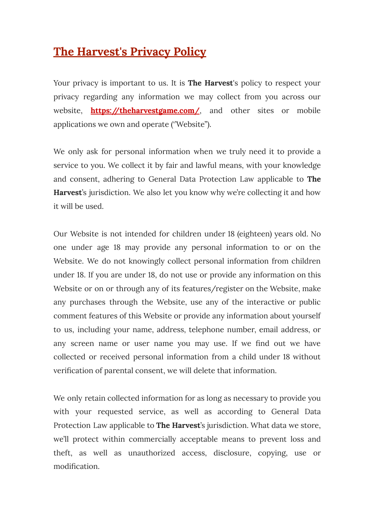# **The Harvest's Privacy Policy**

Your privacy is important to us. It is **The Harvest**'s policy to respect your privacy regarding any information we may collect from you across our website, **<https://theharvestgame.com/>**, and other sites or mobile applications we own and operate (''Website'').

We only ask for personal information when we truly need it to provide a service to you. We collect it by fair and lawful means, with your knowledge and consent, adhering to General Data Protection Law applicable to **The Harvest**'s jurisdiction. We also let you know why we're collecting it and how it will be used.

Our Website is not intended for children under 18 (eighteen) years old. No one under age 18 may provide any personal information to or on the Website. We do not knowingly collect personal information from children under 18. If you are under 18, do not use or provide any information on this Website or on or through any of its features/register on the Website, make any purchases through the Website, use any of the interactive or public comment features of this Website or provide any information about yourself to us, including your name, address, telephone number, email address, or any screen name or user name you may use. If we find out we have collected or received personal information from a child under 18 without verification of parental consent, we will delete that information.

We only retain collected information for as long as necessary to provide you with your requested service, as well as according to General Data Protection Law applicable to **The Harvest**'s jurisdiction. What data we store, we'll protect within commercially acceptable means to prevent loss and theft, as well as unauthorized access, disclosure, copying, use or modification.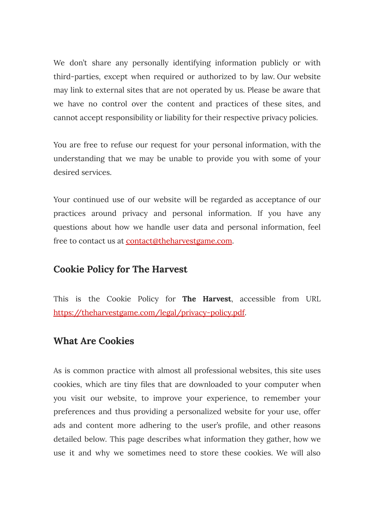We don't share any personally identifying information publicly or with third-parties, except when required or authorized to by law. Our website may link to external sites that are not operated by us. Please be aware that we have no control over the content and practices of these sites, and cannot accept responsibility or liability for their respective privacy policies.

You are free to refuse our request for your personal information, with the understanding that we may be unable to provide you with some of your desired services.

Your continued use of our website will be regarded as acceptance of our practices around privacy and personal information. If you have any questions about how we handle user data and personal information, feel free to contact us at [contact@theharvestgame.com](mailto:contact@theharvestgame.com).

### **Cookie Policy for The Harvest**

This is the Cookie Policy for **The Harvest**, accessible from URL [https://theharvestgame.com/legal/privacy-policy.pdf.](https://theharvestgame.com/legal/privacy-policy.pdf)

#### **What Are Cookies**

As is common practice with almost all professional websites, this site uses cookies, which are tiny files that are downloaded to your computer when you visit our website, to improve your experience, to remember your preferences and thus providing a personalized website for your use, offer ads and content more adhering to the user's profile, and other reasons detailed below. This page describes what information they gather, how we use it and why we sometimes need to store these cookies. We will also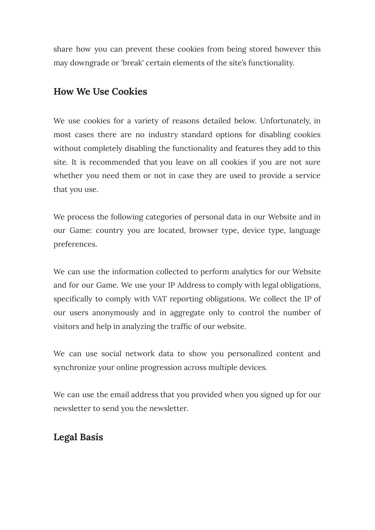share how you can prevent these cookies from being stored however this may downgrade or 'break' certain elements of the site's functionality.

### **How We Use Cookies**

We use cookies for a variety of reasons detailed below. Unfortunately, in most cases there are no industry standard options for disabling cookies without completely disabling the functionality and features they add to this site. It is recommended that you leave on all cookies if you are not sure whether you need them or not in case they are used to provide a service that you use.

We process the following categories of personal data in our Website and in our Game: country you are located, browser type, device type, language preferences.

We can use the information collected to perform analytics for our Website and for our Game. We use your IP Address to comply with legal obligations, specifically to comply with VAT reporting obligations. We collect the IP of our users anonymously and in aggregate only to control the number of visitors and help in analyzing the traffic of our website.

We can use social network data to show you personalized content and synchronize your online progression across multiple devices.

We can use the email address that you provided when you signed up for our newsletter to send you the newsletter.

## **Legal Basis**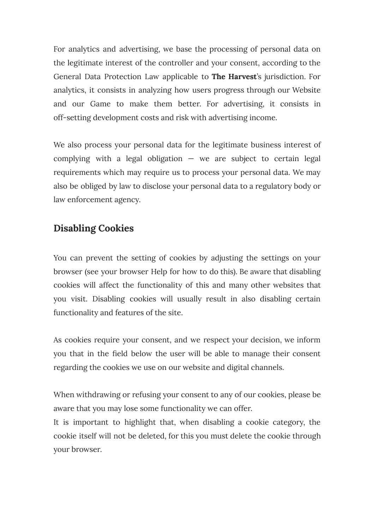For analytics and advertising, we base the processing of personal data on the legitimate interest of the controller and your consent, according to the General Data Protection Law applicable to **The Harvest**'s jurisdiction. For analytics, it consists in analyzing how users progress through our Website and our Game to make them better. For advertising, it consists in off-setting development costs and risk with advertising income.

We also process your personal data for the legitimate business interest of complying with a legal obligation  $-$  we are subject to certain legal requirements which may require us to process your personal data. We may also be obliged by law to disclose your personal data to a regulatory body or law enforcement agency.

# **Disabling Cookies**

You can prevent the setting of cookies by adjusting the settings on your browser (see your browser Help for how to do this). Be aware that disabling cookies will affect the functionality of this and many other websites that you visit. Disabling cookies will usually result in also disabling certain functionality and features of the site.

As cookies require your consent, and we respect your decision, we inform you that in the field below the user will be able to manage their consent regarding the cookies we use on our website and digital channels.

When withdrawing or refusing your consent to any of our cookies, please be aware that you may lose some functionality we can offer.

It is important to highlight that, when disabling a cookie category, the cookie itself will not be deleted, for this you must delete the cookie through your browser.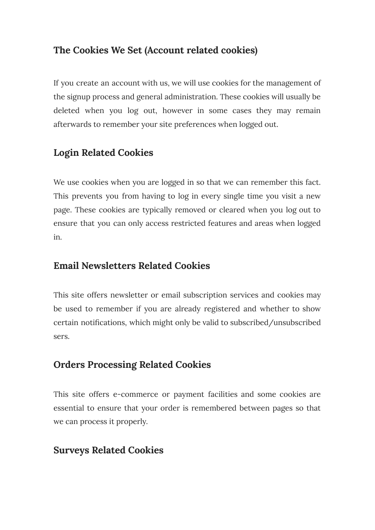# **The Cookies We Set (Account related cookies)**

If you create an account with us, we will use cookies for the management of the signup process and general administration. These cookies will usually be deleted when you log out, however in some cases they may remain afterwards to remember your site preferences when logged out.

# **Login Related Cookies**

We use cookies when you are logged in so that we can remember this fact. This prevents you from having to log in every single time you visit a new page. These cookies are typically removed or cleared when you log out to ensure that you can only access restricted features and areas when logged in.

# **Email Newsletters Related Cookies**

This site offers newsletter or email subscription services and cookies may be used to remember if you are already registered and whether to show certain notifications, which might only be valid to subscribed/unsubscribed sers.

# **Orders Processing Related Cookies**

This site offers e-commerce or payment facilities and some cookies are essential to ensure that your order is remembered between pages so that we can process it properly.

## **Surveys Related Cookies**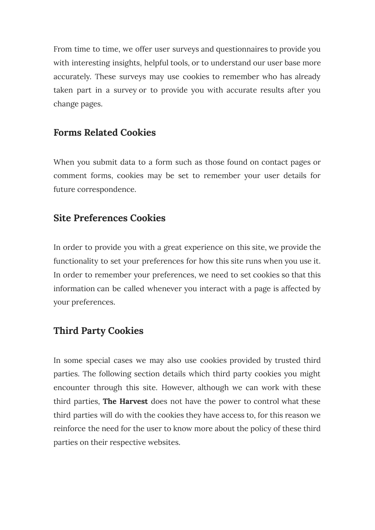From time to time, we offer user surveys and questionnaires to provide you with interesting insights, helpful tools, or to understand our user base more accurately. These surveys may use cookies to remember who has already taken part in a survey or to provide you with accurate results after you change pages.

### **Forms Related Cookies**

When you submit data to a form such as those found on contact pages or comment forms, cookies may be set to remember your user details for future correspondence.

### **Site Preferences Cookies**

In order to provide you with a great experience on this site, we provide the functionality to set your preferences for how this site runs when you use it. In order to remember your preferences, we need to set cookies so that this information can be called whenever you interact with a page is affected by your preferences.

### **Third Party Cookies**

In some special cases we may also use cookies provided by trusted third parties. The following section details which third party cookies you might encounter through this site. However, although we can work with these third parties, **The Harvest** does not have the power to control what these third parties will do with the cookies they have access to, for this reason we reinforce the need for the user to know more about the policy of these third parties on their respective websites.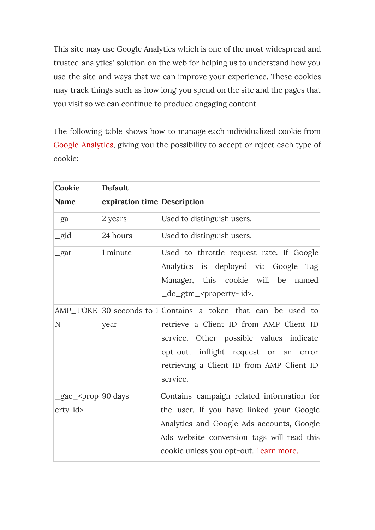This site may use Google Analytics which is one of the most widespread and trusted analytics' solution on the web for helping us to understand how you use the site and ways that we can improve your experience. These cookies may track things such as how long you spend on the site and the pages that you visit so we can continue to produce engaging content.

The following table shows how to manage each individualized cookie from Google [Analytics](https://developers.google.com/analytics/devguides/collection/gtagjs/cookie-usage), giving you the possibility to accept or reject each type of cookie:

| Cookie                                           | Default                     |                                                                                                                                                                                                                                                       |
|--------------------------------------------------|-----------------------------|-------------------------------------------------------------------------------------------------------------------------------------------------------------------------------------------------------------------------------------------------------|
| Name                                             | expiration time Description |                                                                                                                                                                                                                                                       |
| $-ga$                                            | 2 years                     | Used to distinguish users.                                                                                                                                                                                                                            |
| $\equiv$ gid                                     | 24 hours                    | Used to distinguish users.                                                                                                                                                                                                                            |
| gat                                              | 1 minute                    | Used to throttle request rate. If Google<br>Analytics is deployed via Google Tag<br>Manager, this cookie will be named<br>$dc_gtm$ -sproperty-id-                                                                                                     |
| N                                                | year                        | AMP TOKE 30 seconds to 1 Contains a token that can be used to<br>retrieve a Client ID from AMP Client ID<br>service. Other possible values indicate<br>opt-out, inflight request or an error<br>retrieving a Client ID from AMP Client ID<br>service. |
| _gac_ <prop days<br=""  90="">erty-id&gt;</prop> |                             | Contains campaign related information for<br>the user. If you have linked your Google<br>Analytics and Google Ads accounts, Google<br>Ads website conversion tags will read this<br>cookie unless you opt-out. Learn more.                            |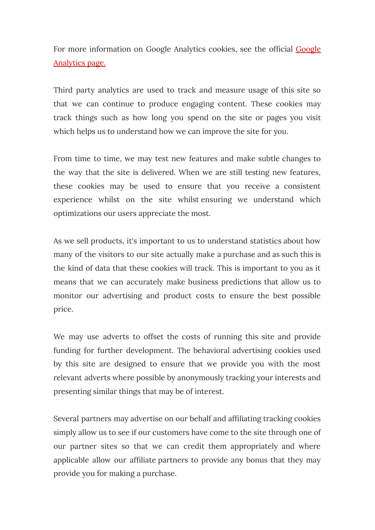For more information on [Google](https://analytics.google.com/) Analytics cookies, see the official Google [Analytics](https://analytics.google.com/) page.

Third party analytics are used to track and measure usage of this site so that we can continue to produce engaging content. These cookies may track things such as how long you spend on the site or pages you visit which helps us to understand how we can improve the site for you.

From time to time, we may test new features and make subtle changes to the way that the site is delivered. When we are still testing new features, these cookies may be used to ensure that you receive a consistent experience whilst on the site whilst ensuring we understand which optimizations our users appreciate the most.

As we sell products, it's important to us to understand statistics about how many of the visitors to our site actually make a purchase and as such this is the kind of data that these cookies will track. This is important to you as it means that we can accurately make business predictions that allow us to monitor our advertising and product costs to ensure the best possible price.

We may use adverts to offset the costs of running this site and provide funding for further development. The behavioral advertising cookies used by this site are designed to ensure that we provide you with the most relevant adverts where possible by anonymously tracking your interests and presenting similar things that may be of interest.

Several partners may advertise on our behalf and affiliating tracking cookies simply allow us to see if our customers have come to the site through one of our partner sites so that we can credit them appropriately and where applicable allow our affiliate partners to provide any bonus that they may provide you for making a purchase.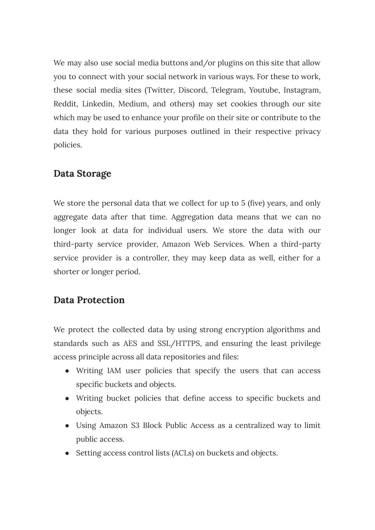We may also use social media buttons and/or plugins on this site that allow you to connect with your social network in various ways. For these to work, these social media sites (Twitter, Discord, Telegram, Youtube, Instagram, Reddit, Linkedin, Medium, and others) may set cookies through our site which may be used to enhance your profile on their site or contribute to the data they hold for various purposes outlined in their respective privacy policies.

#### **Data Storage**

We store the personal data that we collect for up to 5 (five) years, and only aggregate data after that time. Aggregation data means that we can no longer look at data for individual users. We store the data with our third-party service provider, Amazon Web Services. When a third-party service provider is a controller, they may keep data as well, either for a shorter or longer period.

### **Data Protection**

We protect the collected data by using strong encryption algorithms and standards such as AES and SSL/HTTPS, and ensuring the least privilege access principle across all data repositories and files:

- Writing IAM user policies that specify the users that can access specific buckets and objects.
- Writing bucket policies that define access to specific buckets and objects.
- Using Amazon S3 Block Public Access as a centralized way to limit public access.
- Setting access control lists (ACLs) on buckets and objects.